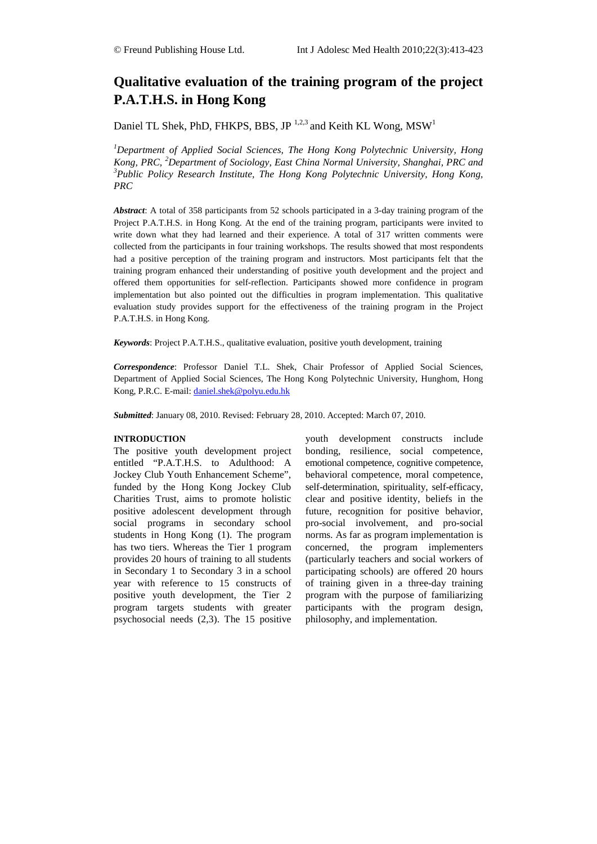# **Qualitative evaluation of the training program of the project P.A.T.H.S. in Hong Kong**

Daniel TL Shek, PhD, FHKPS, BBS, JP<sup>1,2,3</sup> and Keith KL Wong,  $MSW<sup>1</sup>$ 

*1 Department of Applied Social Sciences, The Hong Kong Polytechnic University, Hong*  Kong, PRC, <sup>2</sup>Department of Sociology, East China Normal University, Shanghai, PRC and<br><sup>3</sup> Public, Policy, Research Institute, The Hong, Kong, Polytechnic, University, Hong, Kong *Public Policy Research Institute, The Hong Kong Polytechnic University, Hong Kong, PRC*

*Abstract*: A total of 358 participants from 52 schools participated in a 3-day training program of the Project P.A.T.H.S. in Hong Kong. At the end of the training program, participants were invited to write down what they had learned and their experience. A total of 317 written comments were collected from the participants in four training workshops. The results showed that most respondents had a positive perception of the training program and instructors. Most participants felt that the training program enhanced their understanding of positive youth development and the project and offered them opportunities for self-reflection. Participants showed more confidence in program implementation but also pointed out the difficulties in program implementation. This qualitative evaluation study provides support for the effectiveness of the training program in the Project P.A.T.H.S. in Hong Kong.

*Keywords*: Project P.A.T.H.S., qualitative evaluation, positive youth development, training

*Correspondence*: Professor Daniel T.L. Shek, Chair Professor of Applied Social Sciences, Department of Applied Social Sciences, The Hong Kong Polytechnic University, Hunghom, Hong Kong, P.R.C. E-mail: [daniel.shek@polyu.edu.hk](mailto:daniel.shek@polyu.edu.hk)

*Submitted*: January 08, 2010. Revised: February 28, 2010. Accepted: March 07, 2010.

#### **INTRODUCTION**

The positive youth development project entitled "P.A.T.H.S. to Adulthood: A Jockey Club Youth Enhancement Scheme", funded by the Hong Kong Jockey Club Charities Trust, aims to promote holistic positive adolescent development through social programs in secondary school students in Hong Kong (1). The program has two tiers. Whereas the Tier 1 program provides 20 hours of training to all students in Secondary 1 to Secondary 3 in a school year with reference to 15 constructs of positive youth development, the Tier 2 program targets students with greater psychosocial needs (2,3). The 15 positive youth development constructs include bonding, resilience, social competence, emotional competence, cognitive competence, behavioral competence, moral competence, self-determination, spirituality, self-efficacy, clear and positive identity, beliefs in the future, recognition for positive behavior, pro-social involvement, and pro-social norms. As far as program implementation is concerned, the program implementers (particularly teachers and social workers of participating schools) are offered 20 hours of training given in a three-day training program with the purpose of familiarizing participants with the program design, philosophy, and implementation.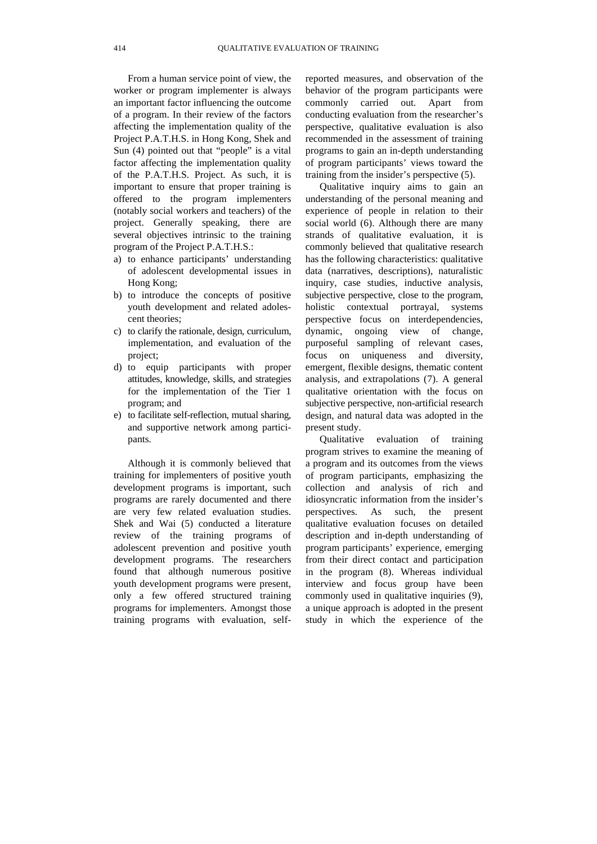From a human service point of view, the worker or program implementer is always an important factor influencing the outcome of a program. In their review of the factors affecting the implementation quality of the Project P.A.T.H.S. in Hong Kong, Shek and Sun (4) pointed out that "people" is a vital factor affecting the implementation quality of the P.A.T.H.S. Project. As such, it is important to ensure that proper training is offered to the program implementers (notably social workers and teachers) of the project. Generally speaking, there are several objectives intrinsic to the training program of the Project P.A.T.H.S.:

- a) to enhance participants' understanding of adolescent developmental issues in Hong Kong;
- b) to introduce the concepts of positive youth development and related adolescent theories;
- c) to clarify the rationale, design, curriculum, implementation, and evaluation of the project;
- d) to equip participants with proper attitudes, knowledge, skills, and strategies for the implementation of the Tier 1 program; and
- e) to facilitate self-reflection, mutual sharing, and supportive network among participants.

Although it is commonly believed that training for implementers of positive youth development programs is important, such programs are rarely documented and there are very few related evaluation studies. Shek and Wai (5) conducted a literature review of the training programs of adolescent prevention and positive youth development programs. The researchers found that although numerous positive youth development programs were present, only a few offered structured training programs for implementers. Amongst those training programs with evaluation, self-

reported measures, and observation of the behavior of the program participants were commonly carried out. Apart from conducting evaluation from the researcher's perspective, qualitative evaluation is also recommended in the assessment of training programs to gain an in-depth understanding of program participants' views toward the training from the insider's perspective (5).

Qualitative inquiry aims to gain an understanding of the personal meaning and experience of people in relation to their social world (6). Although there are many strands of qualitative evaluation, it is commonly believed that qualitative research has the following characteristics: qualitative data (narratives, descriptions), naturalistic inquiry, case studies, inductive analysis, subjective perspective, close to the program, holistic contextual portrayal, systems perspective focus on interdependencies, dynamic, ongoing view of change, purposeful sampling of relevant cases, focus on uniqueness and diversity, emergent, flexible designs, thematic content analysis, and extrapolations (7). A general qualitative orientation with the focus on subjective perspective, non-artificial research design, and natural data was adopted in the present study.

Qualitative evaluation of training program strives to examine the meaning of a program and its outcomes from the views of program participants, emphasizing the collection and analysis of rich and idiosyncratic information from the insider's perspectives. As such, the present qualitative evaluation focuses on detailed description and in-depth understanding of program participants' experience, emerging from their direct contact and participation in the program (8). Whereas individual interview and focus group have been commonly used in qualitative inquiries (9), a unique approach is adopted in the present study in which the experience of the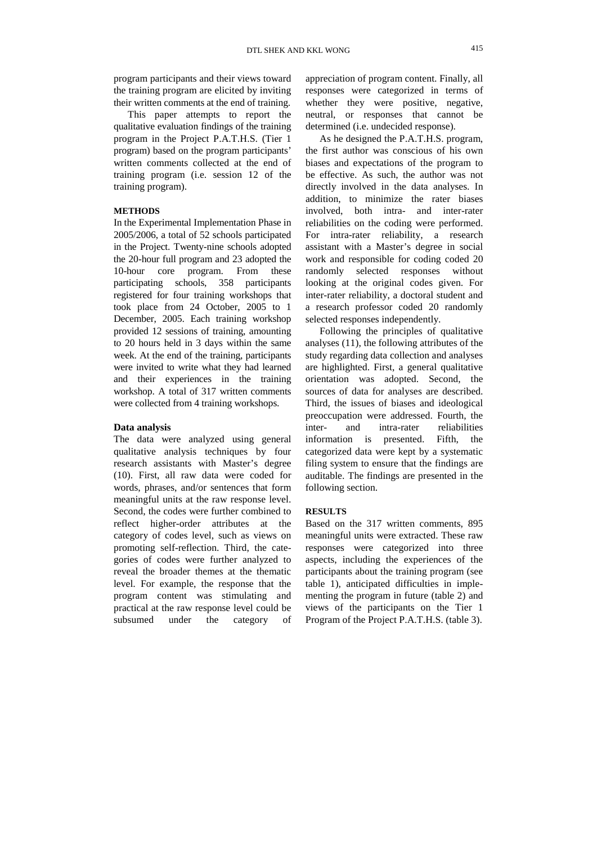program participants and their views toward the training program are elicited by inviting their written comments at the end of training.

This paper attempts to report the qualitative evaluation findings of the training program in the Project P.A.T.H.S. (Tier 1 program) based on the program participants' written comments collected at the end of training program (i.e. session 12 of the training program).

## **METHODS**

In the Experimental Implementation Phase in 2005/2006, a total of 52 schools participated in the Project. Twenty-nine schools adopted the 20-hour full program and 23 adopted the 10-hour core program. From these participating schools, 358 participants registered for four training workshops that took place from 24 October, 2005 to 1 December, 2005. Each training workshop provided 12 sessions of training, amounting to 20 hours held in 3 days within the same week. At the end of the training, participants were invited to write what they had learned and their experiences in the training workshop. A total of 317 written comments were collected from 4 training workshops.

## **Data analysis**

The data were analyzed using general qualitative analysis techniques by four research assistants with Master's degree (10). First, all raw data were coded for words, phrases, and/or sentences that form meaningful units at the raw response level. Second, the codes were further combined to reflect higher-order attributes at the category of codes level, such as views on promoting self-reflection. Third, the categories of codes were further analyzed to reveal the broader themes at the thematic level. For example, the response that the program content was stimulating and practical at the raw response level could be subsumed under the category of

appreciation of program content. Finally, all responses were categorized in terms of whether they were positive, negative, neutral, or responses that cannot be determined (i.e. undecided response).

As he designed the P.A.T.H.S. program, the first author was conscious of his own biases and expectations of the program to be effective. As such, the author was not directly involved in the data analyses. In addition, to minimize the rater biases involved, both intra- and inter-rater reliabilities on the coding were performed. For intra-rater reliability, a research assistant with a Master's degree in social work and responsible for coding coded 20 randomly selected responses without looking at the original codes given. For inter-rater reliability, a doctoral student and a research professor coded 20 randomly selected responses independently.

Following the principles of qualitative analyses (11), the following attributes of the study regarding data collection and analyses are highlighted. First, a general qualitative orientation was adopted. Second, the sources of data for analyses are described. Third, the issues of biases and ideological preoccupation were addressed. Fourth, the inter- and intra-rater reliabilities information is presented. Fifth, the categorized data were kept by a systematic filing system to ensure that the findings are auditable. The findings are presented in the following section.

#### **RESULTS**

Based on the 317 written comments, 895 meaningful units were extracted. These raw responses were categorized into three aspects, including the experiences of the participants about the training program (see table 1), anticipated difficulties in implementing the program in future (table 2) and views of the participants on the Tier 1 Program of the Project P.A.T.H.S. (table 3).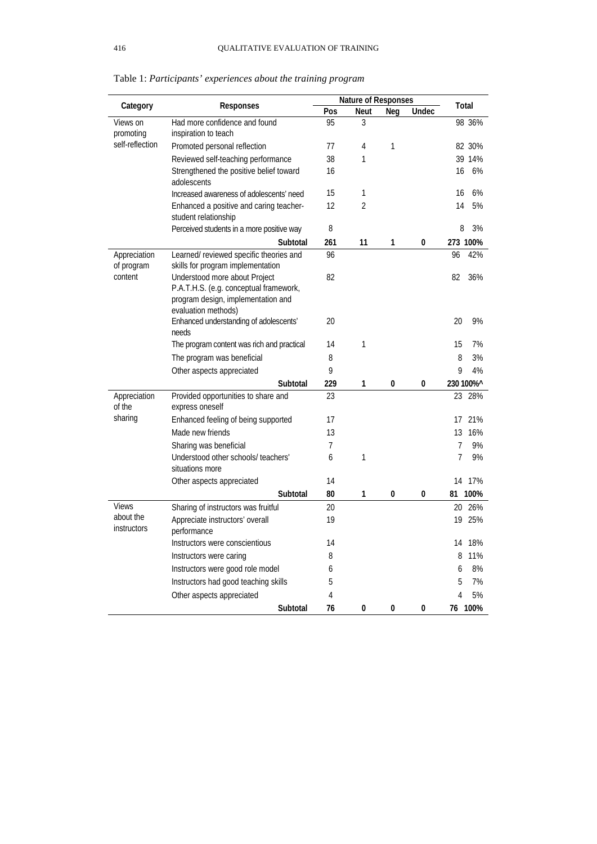| Category                        | <b>Responses</b>                                                                                                                     | <b>Nature of Responses</b> |                |              |       | Total                |  |
|---------------------------------|--------------------------------------------------------------------------------------------------------------------------------------|----------------------------|----------------|--------------|-------|----------------------|--|
|                                 |                                                                                                                                      | Pos                        | <b>Neut</b>    | Neg          | Undec |                      |  |
| Views on<br>promoting           | Had more confidence and found<br>inspiration to teach                                                                                | 95                         | 3              |              |       | 98 36%               |  |
| self-reflection                 | Promoted personal reflection                                                                                                         | 77                         | 4              | 1            |       | 82 30%               |  |
|                                 | Reviewed self-teaching performance                                                                                                   | 38                         | 1              |              |       | 39 14%               |  |
|                                 | Strengthened the positive belief toward<br>adolescents                                                                               | 16                         |                |              |       | 16<br>6%             |  |
|                                 | Increased awareness of adolescents' need                                                                                             | 15                         | 1              |              |       | 6%<br>16             |  |
|                                 | Enhanced a positive and caring teacher-<br>student relationship                                                                      | 12                         | $\overline{2}$ |              |       | 5%<br>14             |  |
|                                 | Perceived students in a more positive way                                                                                            | 8                          |                |              |       | 3%<br>8              |  |
|                                 | Subtotal                                                                                                                             | 261                        | 11             | 1            | 0     | 273 100%             |  |
| Appreciation<br>of program      | Learned/reviewed specific theories and<br>skills for program implementation                                                          | 96                         |                |              |       | 96<br>42%            |  |
| content                         | Understood more about Project<br>P.A.T.H.S. (e.g. conceptual framework,<br>program design, implementation and<br>evaluation methods) | 82                         |                |              |       | 82<br>36%            |  |
|                                 | Enhanced understanding of adolescents'<br>needs                                                                                      | 20                         |                |              |       | 20<br>9%             |  |
|                                 | The program content was rich and practical                                                                                           | 14                         | 1              |              |       | 15<br>7%             |  |
|                                 | The program was beneficial                                                                                                           | 8                          |                |              |       | 3%<br>8              |  |
|                                 | Other aspects appreciated                                                                                                            | 9                          |                |              |       | 9<br>4%              |  |
|                                 | Subtotal                                                                                                                             | 229                        | 1              | 0            | 0     | 230 100%^            |  |
| Appreciation<br>of the          | Provided opportunities to share and<br>express oneself                                                                               | 23                         |                |              |       | 23<br>28%            |  |
| sharing                         | Enhanced feeling of being supported                                                                                                  | 17                         |                |              |       | 17<br>21%            |  |
|                                 | Made new friends                                                                                                                     | 13                         |                |              |       | 16%<br>13            |  |
|                                 | Sharing was beneficial                                                                                                               | $\overline{7}$             |                |              |       | $\overline{7}$<br>9% |  |
|                                 | Understood other schools/ teachers'<br>situations more                                                                               | 6                          | 1              |              |       | 7<br>9%              |  |
|                                 | Other aspects appreciated                                                                                                            | 14                         |                |              |       | 17%<br>14            |  |
|                                 | Subtotal                                                                                                                             | 80                         | 1              | 0            | 0     | 81<br>100%           |  |
| <b>Views</b>                    | Sharing of instructors was fruitful                                                                                                  | 20                         |                |              |       | 26%<br>20            |  |
| about the<br><b>instructors</b> | Appreciate instructors' overall<br>performance                                                                                       | 19                         |                |              |       | 25%<br>19            |  |
|                                 | Instructors were conscientious                                                                                                       | 14                         |                |              |       | 14<br>18%            |  |
|                                 | Instructors were caring                                                                                                              | 8                          |                |              |       | 11%<br>8             |  |
|                                 | Instructors were good role model                                                                                                     | 6                          |                |              |       | 8%<br>6              |  |
|                                 | Instructors had good teaching skills                                                                                                 | 5                          |                |              |       | 7%<br>5              |  |
|                                 | Other aspects appreciated                                                                                                            | 4                          |                |              |       | 5%<br>4              |  |
|                                 | Subtotal                                                                                                                             | 76                         | 0              | $\mathbf{0}$ | 0     | 76 100%              |  |

Table 1: *Participants' experiences about the training program*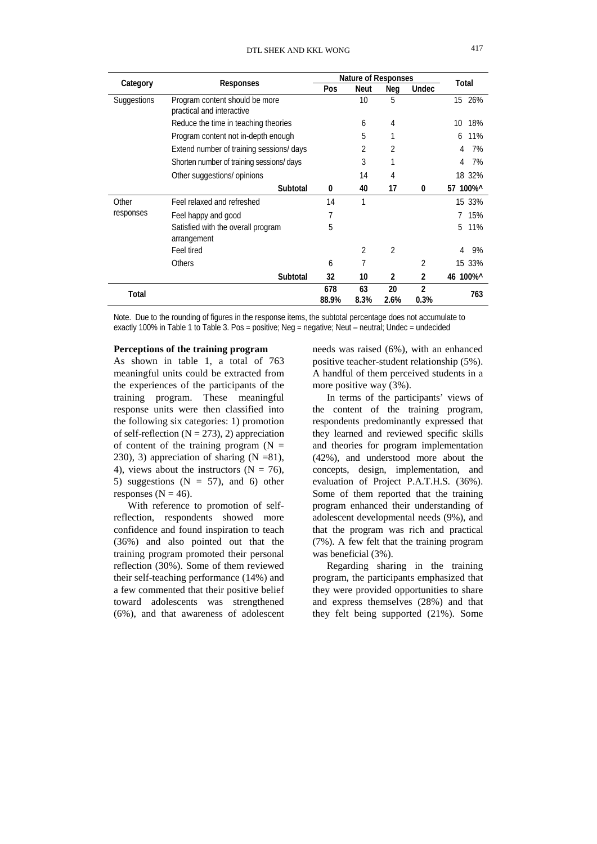| Category           | Responses                                                   | <b>Nature of Responses</b> |      |      |       | Total     |
|--------------------|-------------------------------------------------------------|----------------------------|------|------|-------|-----------|
|                    |                                                             | Pos                        | Neut | Neg  | Undec |           |
| Suggestions        | Program content should be more<br>practical and interactive |                            | 10   | 5    |       | 15 26%    |
|                    | Reduce the time in teaching theories                        |                            | 6    | 4    |       | 18%<br>10 |
|                    | Program content not in-depth enough                         |                            | 5    |      |       | 11%<br>6  |
|                    | Extend number of training sessions/ days                    |                            | 2    | 2    |       | 7%<br>4   |
|                    | Shorten number of training sessions/ days                   |                            | 3    |      |       | 7%<br>4   |
|                    | Other suggestions/ opinions                                 |                            | 14   | 4    |       | 18 32%    |
|                    | Subtotal                                                    | 0                          | 40   | 17   | 0     | 57 100%^  |
| Other<br>responses | Feel relaxed and refreshed                                  | 14                         | 1    |      |       | 15 33%    |
|                    | Feel happy and good                                         | 7                          |      |      |       | 15%       |
|                    | Satisfied with the overall program<br>arrangement           | 5                          |      |      |       | 11%<br>5  |
|                    | Feel tired                                                  |                            | 2    | 2    |       | 9%<br>4   |
|                    | <b>Others</b>                                               | 6                          | 7    |      | 2     | 15 33%    |
|                    | Subtotal                                                    | 32                         | 10   | 2    | 2     | 46 100%^  |
| Total              |                                                             | 678                        | 63   | 20   | 2     | 763       |
|                    |                                                             | 88.9%                      | 8.3% | 2.6% | 0.3%  |           |

Note. Due to the rounding of figures in the response items, the subtotal percentage does not accumulate to exactly 100% in Table 1 to Table 3. Pos = positive; Neg = negative; Neut – neutral; Undec = undecided

#### **Perceptions of the training program**

As shown in table 1, a total of 763 meaningful units could be extracted from the experiences of the participants of the training program. These meaningful response units were then classified into the following six categories: 1) promotion of self-reflection  $(N = 273)$ , 2) appreciation of content of the training program  $(N =$ 230), 3) appreciation of sharing  $(N = 81)$ , 4), views about the instructors  $(N = 76)$ , 5) suggestions  $(N = 57)$ , and 6) other responses ( $N = 46$ ).

With reference to promotion of selfreflection, respondents showed more confidence and found inspiration to teach (36%) and also pointed out that the training program promoted their personal reflection (30%). Some of them reviewed their self-teaching performance (14%) and a few commented that their positive belief toward adolescents was strengthened (6%), and that awareness of adolescent

needs was raised (6%), with an enhanced positive teacher-student relationship (5%). A handful of them perceived students in a more positive way (3%).

In terms of the participants' views of the content of the training program, respondents predominantly expressed that they learned and reviewed specific skills and theories for program implementation (42%), and understood more about the concepts, design, implementation, and evaluation of Project P.A.T.H.S. (36%). Some of them reported that the training program enhanced their understanding of adolescent developmental needs (9%), and that the program was rich and practical (7%). A few felt that the training program was beneficial (3%).

Regarding sharing in the training program, the participants emphasized that they were provided opportunities to share and express themselves (28%) and that they felt being supported (21%). Some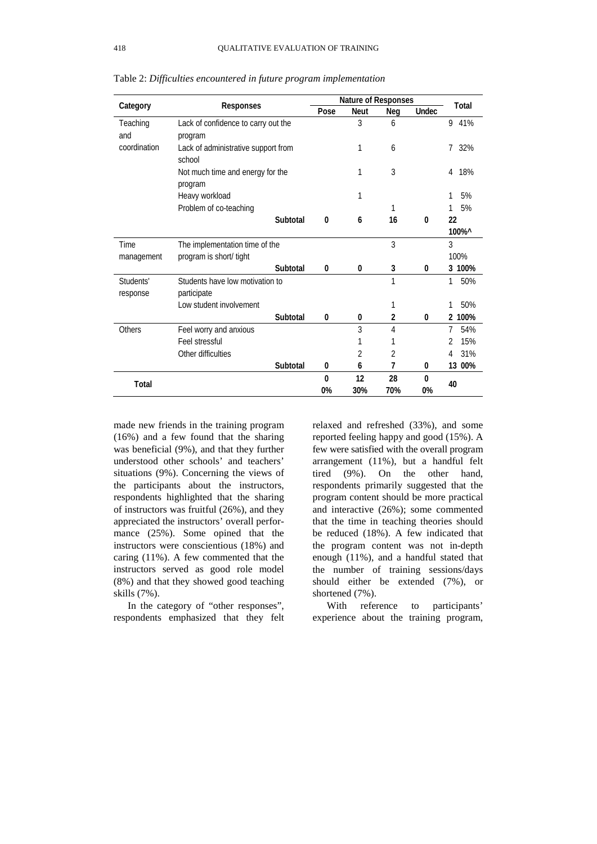|              | <b>Responses</b>                    | <b>Nature of Responses</b> |             |                |              | Total    |
|--------------|-------------------------------------|----------------------------|-------------|----------------|--------------|----------|
| Category     |                                     | Pose                       | <b>Neut</b> | Neg            | <b>Undec</b> |          |
| Teaching     | Lack of confidence to carry out the |                            | 3           | 6              |              | 9<br>41% |
| and          | program                             |                            |             |                |              |          |
| coordination | Lack of administrative support from |                            | 1           | 6              |              | 32%<br>7 |
|              | school                              |                            |             |                |              |          |
|              | Not much time and energy for the    |                            | 1           | 3              |              | 18%<br>4 |
|              | program                             |                            |             |                |              |          |
|              | Heavy workload                      |                            | 1           |                |              | 5%       |
|              | Problem of co-teaching              |                            |             | 1              |              | 5%       |
|              | Subtotal                            | 0                          | 6           | 16             | 0            | 22       |
|              |                                     |                            |             |                |              | 100%^    |
| <b>Time</b>  | The implementation time of the      |                            |             | 3              |              | 3        |
| management   | program is short/ tight             |                            |             |                |              | 100%     |
|              | Subtotal                            | 0                          | 0           | 3              | 0            | 3 100%   |
| Students'    | Students have low motivation to     |                            |             | 1              |              | 1<br>50% |
| response     | participate                         |                            |             |                |              |          |
|              | Low student involvement             |                            |             | 1              |              | 50%<br>1 |
|              | Subtotal                            | 0                          | 0           | 2              | 0            | 2 100%   |
| Others       | Feel worry and anxious              |                            | 3           | $\overline{4}$ |              | 7<br>54% |
|              | Feel stressful                      |                            | 1           | 1              |              | 15%<br>2 |
|              | Other difficulties                  |                            | 2           | 2              |              | 31%<br>4 |
|              | Subtotal                            | 0                          | 6           | 7              | 0            | 13 00%   |
|              |                                     | $\mathbf{0}$               | 12          | 28             | 0            | 40       |
| Total        |                                     | 0%                         | 30%         | 70%            | 0%           |          |

Table 2: *Difficulties encountered in future program implementation*

made new friends in the training program (16%) and a few found that the sharing was beneficial (9%), and that they further understood other schools' and teachers' situations (9%). Concerning the views of the participants about the instructors, respondents highlighted that the sharing of instructors was fruitful (26%), and they appreciated the instructors' overall performance (25%). Some opined that the instructors were conscientious (18%) and caring (11%). A few commented that the instructors served as good role model (8%) and that they showed good teaching skills (7%).

In the category of "other responses", respondents emphasized that they felt relaxed and refreshed (33%), and some reported feeling happy and good (15%). A few were satisfied with the overall program arrangement (11%), but a handful felt tired (9%). On the other hand, respondents primarily suggested that the program content should be more practical and interactive (26%); some commented that the time in teaching theories should be reduced (18%). A few indicated that the program content was not in-depth enough (11%), and a handful stated that the number of training sessions/days should either be extended (7%), or shortened (7%).

With reference to participants' experience about the training program,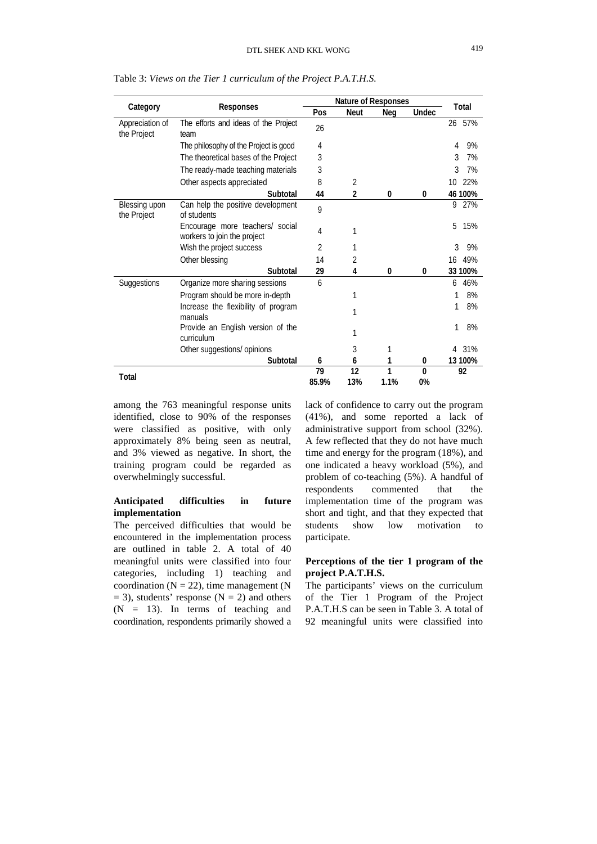| Category                       | Responses                                                      | <b>Nature of Responses</b> |                |           |                |           |
|--------------------------------|----------------------------------------------------------------|----------------------------|----------------|-----------|----------------|-----------|
|                                |                                                                | Pos                        | <b>Neut</b>    | Neg       | <b>Undec</b>   | Total     |
| Appreciation of<br>the Project | The efforts and ideas of the Project<br>team                   | 26                         |                |           |                | 26 57%    |
|                                | The philosophy of the Project is good                          | 4                          |                |           |                | 9%<br>4   |
|                                | The theoretical bases of the Project                           | 3                          |                |           |                | 3<br>7%   |
|                                | The ready-made teaching materials                              | 3                          |                |           |                | 3<br>7%   |
|                                | Other aspects appreciated                                      | 8                          | 2              |           |                | 22%<br>10 |
|                                | Subtotal                                                       | 44                         | $\overline{2}$ | 0         | 0              | 46 100%   |
| Blessing upon<br>the Project   | Can help the positive development<br>of students               | 9                          |                |           |                | 27%<br>9  |
|                                | Encourage more teachers/ social<br>workers to join the project | 4                          | 1              |           |                | 15%<br>5  |
|                                | Wish the project success                                       | 2                          |                |           |                | 3<br>9%   |
|                                | Other blessing                                                 | 14                         | 2              |           |                | 49%<br>16 |
|                                | Subtotal                                                       | 29                         | 4              | 0         | 0              | 33 100%   |
| Suggestions                    | Organize more sharing sessions                                 | 6                          |                |           |                | 46%<br>6  |
|                                | Program should be more in-depth                                |                            | 1              |           |                | 8%        |
|                                | Increase the flexibility of program<br>manuals                 |                            | 1              |           |                | 8%        |
|                                | Provide an English version of the<br>curriculum                |                            |                |           |                | 1<br>8%   |
|                                | Other suggestions/ opinions                                    |                            | 3              | 1         |                | 31%<br>4  |
|                                | Subtotal                                                       | 6                          | 6              |           | 0              | 13 100%   |
| Total                          |                                                                | 79<br>85.9%                | 12<br>13%      | 1<br>1.1% | $\Omega$<br>0% | 92        |

Table 3: *Views on the Tier 1 curriculum of the Project P.A.T.H.S.*

among the 763 meaningful response units identified, close to 90% of the responses were classified as positive, with only approximately 8% being seen as neutral, and 3% viewed as negative. In short, the training program could be regarded as overwhelmingly successful.

# **Anticipated difficulties in future implementation**

The perceived difficulties that would be encountered in the implementation process are outlined in table 2. A total of 40 meaningful units were classified into four categories, including 1) teaching and coordination ( $N = 22$ ), time management ( $N$  $= 3$ ), students' response (N  $= 2$ ) and others  $(N = 13)$ . In terms of teaching and coordination, respondents primarily showed a lack of confidence to carry out the program (41%), and some reported a lack of administrative support from school (32%). A few reflected that they do not have much time and energy for the program (18%), and one indicated a heavy workload (5%), and problem of co-teaching (5%). A handful of respondents commented that the implementation time of the program was short and tight, and that they expected that students show low motivation to participate.

# **Perceptions of the tier 1 program of the project P.A.T.H.S.**

The participants' views on the curriculum of the Tier 1 Program of the Project P.A.T.H.S can be seen in Table 3. A total of 92 meaningful units were classified into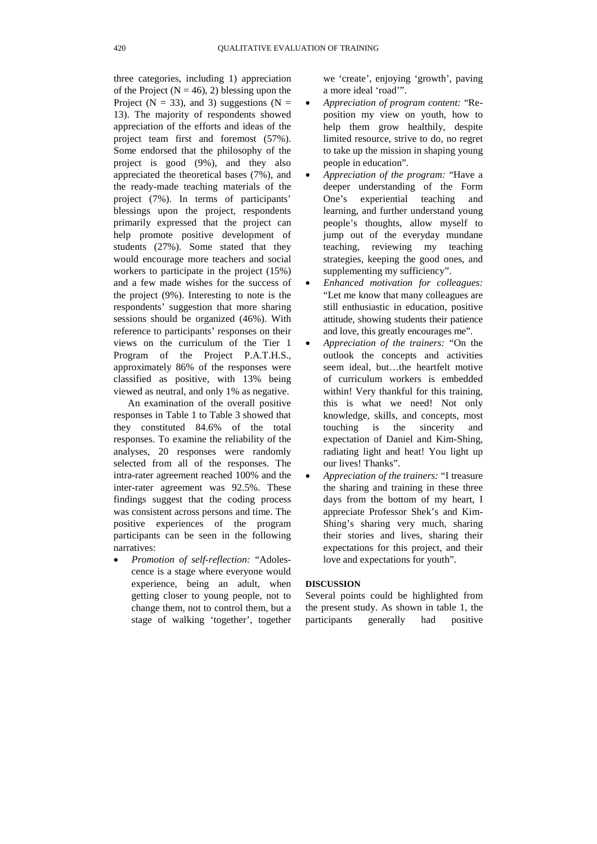three categories, including 1) appreciation of the Project ( $N = 46$ ), 2) blessing upon the Project ( $N = 33$ ), and 3) suggestions ( $N =$ 13). The majority of respondents showed appreciation of the efforts and ideas of the project team first and foremost (57%). Some endorsed that the philosophy of the project is good (9%), and they also appreciated the theoretical bases (7%), and the ready-made teaching materials of the project (7%). In terms of participants' blessings upon the project, respondents primarily expressed that the project can help promote positive development of students (27%). Some stated that they would encourage more teachers and social workers to participate in the project (15%) and a few made wishes for the success of the project (9%). Interesting to note is the respondents' suggestion that more sharing sessions should be organized (46%). With reference to participants' responses on their views on the curriculum of the Tier 1 Program of the Project P.A.T.H.S., approximately 86% of the responses were classified as positive, with 13% being viewed as neutral, and only 1% as negative.

An examination of the overall positive responses in Table 1 to Table 3 showed that they constituted 84.6% of the total responses. To examine the reliability of the analyses, 20 responses were randomly selected from all of the responses. The intra-rater agreement reached 100% and the inter-rater agreement was 92.5%. These findings suggest that the coding process was consistent across persons and time. The positive experiences of the program participants can be seen in the following narratives:

• *Promotion of self-reflection:* "Adolescence is a stage where everyone would experience, being an adult, when getting closer to young people, not to change them, not to control them, but a stage of walking 'together', together

we 'create', enjoying 'growth', paving a more ideal 'road'".

- *Appreciation of program content:* "Reposition my view on youth, how to help them grow healthily, despite limited resource, strive to do, no regret to take up the mission in shaping young people in education".
- *Appreciation of the program:* "Have a deeper understanding of the Form One's experiential teaching and learning, and further understand young people's thoughts, allow myself to jump out of the everyday mundane teaching, reviewing my teaching strategies, keeping the good ones, and supplementing my sufficiency".
- *Enhanced motivation for colleagues:* "Let me know that many colleagues are still enthusiastic in education, positive attitude, showing students their patience and love, this greatly encourages me".
- *Appreciation of the trainers:* "On the outlook the concepts and activities seem ideal, but…the heartfelt motive of curriculum workers is embedded within! Very thankful for this training. this is what we need! Not only knowledge, skills, and concepts, most touching is the sincerity and expectation of Daniel and Kim-Shing, radiating light and heat! You light up our lives! Thanks".
- *Appreciation of the trainers:* "I treasure the sharing and training in these three days from the bottom of my heart, I appreciate Professor Shek's and Kim-Shing's sharing very much, sharing their stories and lives, sharing their expectations for this project, and their love and expectations for youth".

### **DISCUSSION**

Several points could be highlighted from the present study. As shown in table 1, the participants generally had positive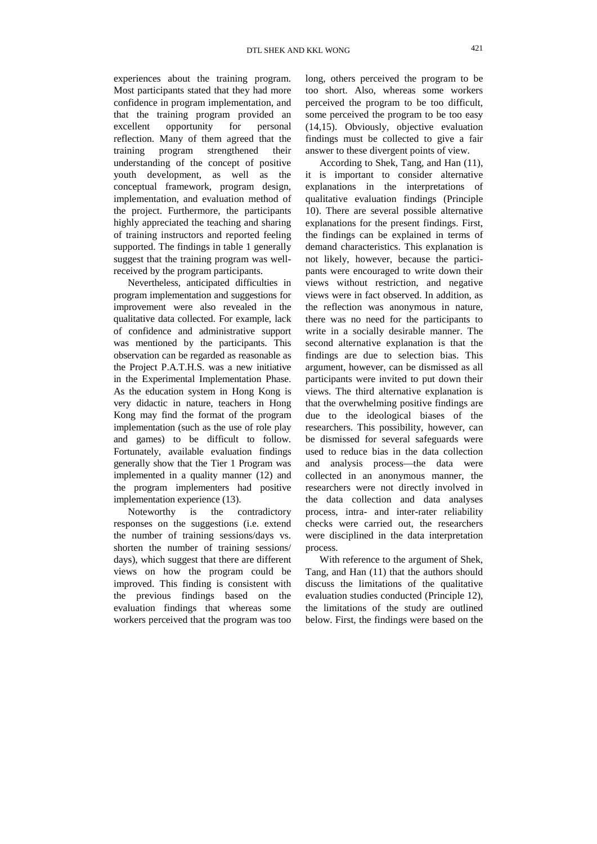experiences about the training program. Most participants stated that they had more confidence in program implementation, and that the training program provided an excellent opportunity for personal reflection. Many of them agreed that the training program strengthened their understanding of the concept of positive youth development, as well as the conceptual framework, program design, implementation, and evaluation method of the project. Furthermore, the participants highly appreciated the teaching and sharing of training instructors and reported feeling supported. The findings in table 1 generally suggest that the training program was wellreceived by the program participants.

Nevertheless, anticipated difficulties in program implementation and suggestions for improvement were also revealed in the qualitative data collected. For example, lack of confidence and administrative support was mentioned by the participants. This observation can be regarded as reasonable as the Project P.A.T.H.S. was a new initiative in the Experimental Implementation Phase. As the education system in Hong Kong is very didactic in nature, teachers in Hong Kong may find the format of the program implementation (such as the use of role play and games) to be difficult to follow. Fortunately, available evaluation findings generally show that the Tier 1 Program was implemented in a quality manner (12) and the program implementers had positive implementation experience (13).

Noteworthy is the contradictory responses on the suggestions (i.e. extend the number of training sessions/days vs. shorten the number of training sessions/ days), which suggest that there are different views on how the program could be improved. This finding is consistent with the previous findings based on the evaluation findings that whereas some workers perceived that the program was too long, others perceived the program to be too short. Also, whereas some workers perceived the program to be too difficult, some perceived the program to be too easy (14,15). Obviously, objective evaluation findings must be collected to give a fair answer to these divergent points of view.

According to Shek, Tang, and Han (11), it is important to consider alternative explanations in the interpretations of qualitative evaluation findings (Principle 10). There are several possible alternative explanations for the present findings. First, the findings can be explained in terms of demand characteristics. This explanation is not likely, however, because the participants were encouraged to write down their views without restriction, and negative views were in fact observed. In addition, as the reflection was anonymous in nature, there was no need for the participants to write in a socially desirable manner. The second alternative explanation is that the findings are due to selection bias. This argument, however, can be dismissed as all participants were invited to put down their views. The third alternative explanation is that the overwhelming positive findings are due to the ideological biases of the researchers. This possibility, however, can be dismissed for several safeguards were used to reduce bias in the data collection and analysis process—the data were collected in an anonymous manner, the researchers were not directly involved in the data collection and data analyses process, intra- and inter-rater reliability checks were carried out, the researchers were disciplined in the data interpretation process.

With reference to the argument of Shek, Tang, and Han (11) that the authors should discuss the limitations of the qualitative evaluation studies conducted (Principle 12), the limitations of the study are outlined below. First, the findings were based on the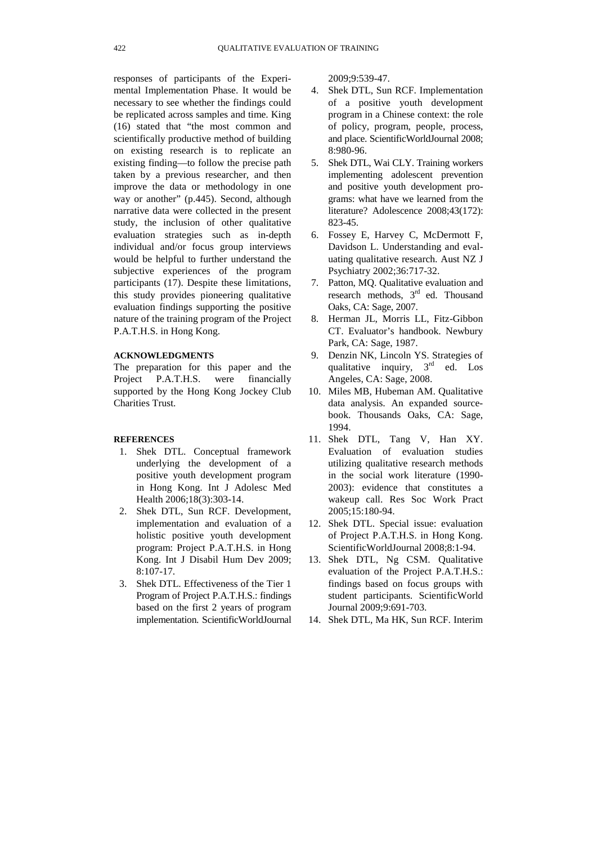responses of participants of the Experimental Implementation Phase. It would be necessary to see whether the findings could be replicated across samples and time. King (16) stated that "the most common and scientifically productive method of building on existing research is to replicate an existing finding—to follow the precise path taken by a previous researcher, and then improve the data or methodology in one way or another" (p.445). Second, although narrative data were collected in the present study, the inclusion of other qualitative evaluation strategies such as in-depth individual and/or focus group interviews would be helpful to further understand the subjective experiences of the program participants (17). Despite these limitations, this study provides pioneering qualitative evaluation findings supporting the positive nature of the training program of the Project P.A.T.H.S. in Hong Kong.

# **ACKNOWLEDGMENTS**

The preparation for this paper and the Project P.A.T.H.S. were financially supported by the Hong Kong Jockey Club Charities Trust.

## **REFERENCES**

- 1. Shek DTL. Conceptual framework underlying the development of a positive youth development program in Hong Kong. Int J Adolesc Med Health 2006;18(3):303-14.
- 2. Shek DTL, Sun RCF. Development, implementation and evaluation of a holistic positive youth development program: Project P.A.T.H.S. in Hong Kong. Int J Disabil Hum Dev 2009; 8:107-17.
- 3. Shek DTL. Effectiveness of the Tier 1 Program of Project P.A.T.H.S.: findings based on the first 2 years of program implementation. ScientificWorldJournal

2009;9:539-47.

- 4. Shek DTL, Sun RCF. Implementation of a positive youth development program in a Chinese context: the role of policy, program, people, process, and place. ScientificWorldJournal 2008; 8:980-96.
- 5. Shek DTL, Wai CLY. Training workers implementing adolescent prevention and positive youth development programs: what have we learned from the literature? Adolescence 2008;43(172): 823-45.
- 6. Fossey E, Harvey C, McDermott F, Davidson L. Understanding and evaluating qualitative research. Aust NZ J Psychiatry 2002;36:717-32.
- 7. Patton, MQ. Qualitative evaluation and research methods,  $3<sup>rd</sup>$  ed. Thousand Oaks, CA: Sage, 2007.
- 8. Herman JL, Morris LL, Fitz-Gibbon CT. Evaluator's handbook. Newbury Park, CA: Sage, 1987.
- 9. Denzin NK, Lincoln YS. Strategies of qualitative inquiry,  $3<sup>rd</sup>$  ed. Los Angeles, CA: Sage, 2008.
- 10. Miles MB, Hubeman AM. Qualitative data analysis. An expanded sourcebook. Thousands Oaks, CA: Sage, 1994.
- 11. Shek DTL, Tang V, Han XY. Evaluation of evaluation studies utilizing qualitative research methods in the social work literature (1990- 2003): evidence that constitutes a wakeup call. Res Soc Work Pract 2005;15:180-94.
- 12. Shek DTL. Special issue: evaluation of Project P.A.T.H.S. in Hong Kong. ScientificWorldJournal 2008;8:1-94.
- 13. Shek DTL, Ng CSM. Qualitative evaluation of the Project P.A.T.H.S.: findings based on focus groups with student participants. ScientificWorld Journal 2009;9:691-703.
- 14. Shek DTL, Ma HK, Sun RCF. Interim